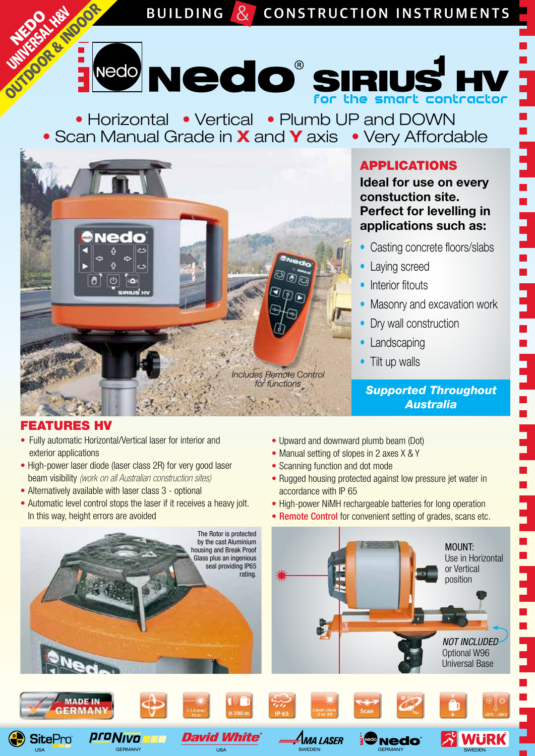**RECORDS BUILDING & CONSTRUCTION INSTRUMENTS** Nedd Nedd SIRIUS contractor **HV** 

• Horizontal • Vertical • Plumb UP and DOWN • Scan Manual Grade in **X** and **Y** axis • Very Affordable



## APPLICATIONS

**Ideal for use on every constuction site. Perfect for levelling in applications such as:**

- Casting concrete floors/slabs
- Laying screed
- **•** Interior fitouts
- Masonry and excavation work
- Dry wall construction
- Landscaping
- Tilt up walls

**Supported Throughout** *Australia*

# FEATURES HV

- Fully automatic Horizontal/Vertical laser for interior and exterior applications
- High-power laser diode (laser class 2R) for very good laser beam visibility *(work on all Australian construction sites)*
- Alternatively available with laser class 3 optional
- Automatic level control stops the laser if it receives a heavy jolt. In this way, height errors are avoided
- Upward and downward plumb beam (Dot)
- Manual setting of slopes in 2 axes X & Y
- Scanning function and dot mode
- Rugged housing protected against low pressure jet water in accordance with IP 65
- High-power NiMH rechargeable batteries for long operation
- Remote Control for convenient setting of grades, scans etc.



USA GERMANY GERMANY USA USA SWEDEN GERMANY SWEDEN GERMANY SWEDEN